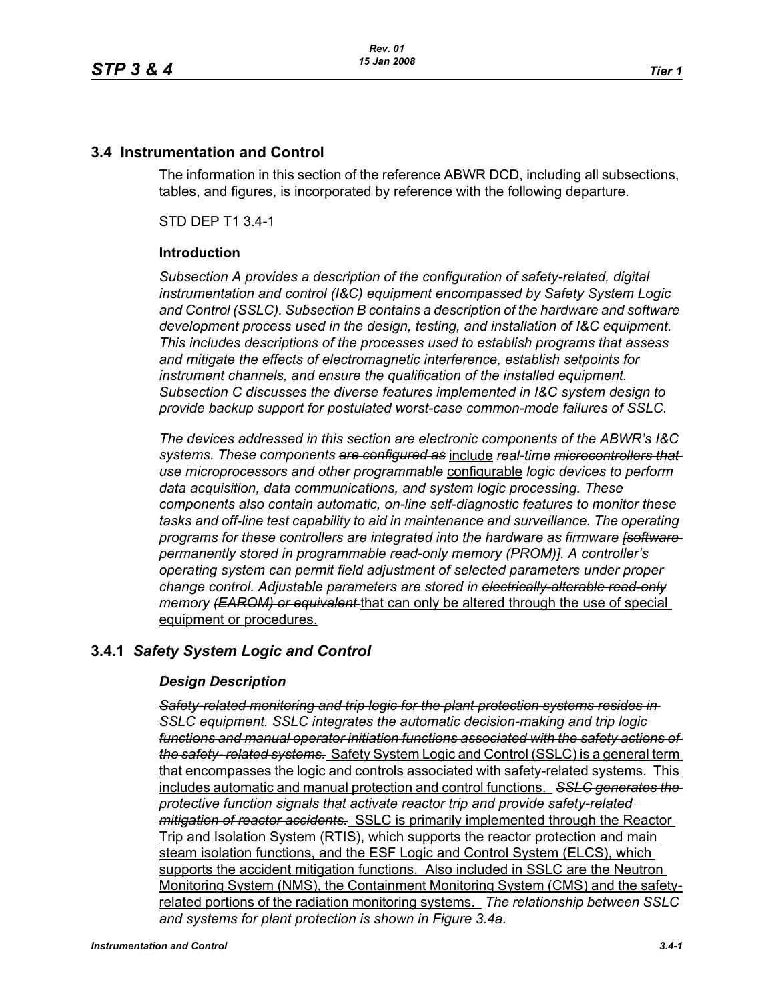# **3.4 Instrumentation and Control**

The information in this section of the reference ABWR DCD, including all subsections, tables, and figures, is incorporated by reference with the following departure.

STD DEP T1 3.4-1

#### **Introduction**

*Subsection A provides a description of the configuration of safety-related, digital instrumentation and control (I&C) equipment encompassed by Safety System Logic and Control (SSLC). Subsection B contains a description of the hardware and software development process used in the design, testing, and installation of I&C equipment. This includes descriptions of the processes used to establish programs that assess and mitigate the effects of electromagnetic interference, establish setpoints for instrument channels, and ensure the qualification of the installed equipment. Subsection C discusses the diverse features implemented in I&C system design to provide backup support for postulated worst-case common-mode failures of SSLC.*

*The devices addressed in this section are electronic components of the ABWR's I&C systems. These components are configured as* include *real-time microcontrollers that use microprocessors and other programmable* configurable *logic devices to perform data acquisition, data communications, and system logic processing. These components also contain automatic, on-line self-diagnostic features to monitor these tasks and off-line test capability to aid in maintenance and surveillance. The operating programs for these controllers are integrated into the hardware as firmware [software permanently stored in programmable read-only memory (PROM)]. A controller's operating system can permit field adjustment of selected parameters under proper change control. Adjustable parameters are stored in electrically-alterable read-only memory (EAROM) or equivalent* that can only be altered through the use of special equipment or procedures.

# **3.4.1** *Safety System Logic and Control*

### *Design Description*

*Safety-related monitoring and trip logic for the plant protection systems resides in SSLC equipment. SSLC integrates the automatic decision-making and trip logic functions and manual operator initiation functions associated with the safety actions of the safety- related systems.* Safety System Logic and Control (SSLC) is a general term that encompasses the logic and controls associated with safety-related systems. This includes automatic and manual protection and control functions. *SSLC generates the protective function signals that activate reactor trip and provide safety-related mitigation of reactor accidents.* SSLC is primarily implemented through the Reactor Trip and Isolation System (RTIS), which supports the reactor protection and main steam isolation functions, and the ESF Logic and Control System (ELCS), which supports the accident mitigation functions. Also included in SSLC are the Neutron Monitoring System (NMS), the Containment Monitoring System (CMS) and the safetyrelated portions of the radiation monitoring systems. *The relationship between SSLC and systems for plant protection is shown in Figure 3.4a.*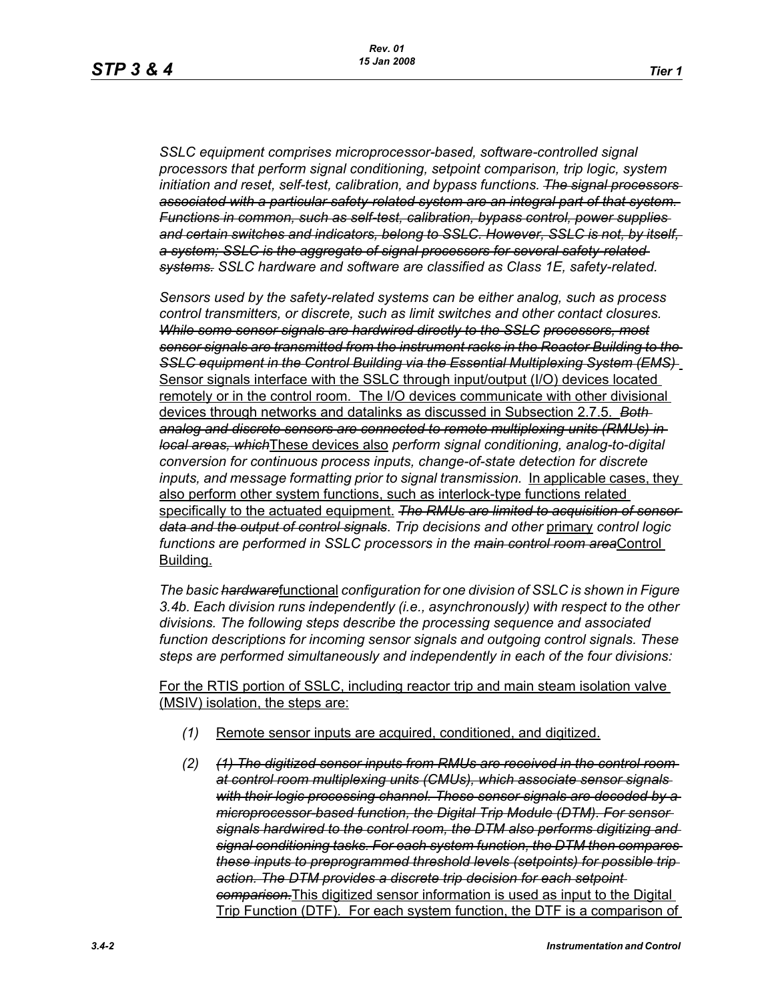*SSLC equipment comprises microprocessor-based, software-controlled signal processors that perform signal conditioning, setpoint comparison, trip logic, system initiation and reset, self-test, calibration, and bypass functions. The signal processors associated with a particular safety-related system are an integral part of that system. Functions in common, such as self-test, calibration, bypass control, power supplies and certain switches and indicators, belong to SSLC. However, SSLC is not, by itself, a system; SSLC is the aggregate of signal processors for several safety-related systems. SSLC hardware and software are classified as Class 1E, safety-related.*

*Sensors used by the safety-related systems can be either analog, such as process control transmitters, or discrete, such as limit switches and other contact closures. While some sensor signals are hardwired directly to the SSLC processors, most sensor signals are transmitted from the instrument racks in the Reactor Building to the SSLC equipment in the Control Building via the Essential Multiplexing System (EMS)*  Sensor signals interface with the SSLC through input/output (I/O) devices located remotely or in the control room. The I/O devices communicate with other divisional devices through networks and datalinks as discussed in Subsection 2.7.5. *Both analog and discrete sensors are connected to remote multiplexing units (RMUs) in local areas, which*These devices also *perform signal conditioning, analog-to-digital conversion for continuous process inputs, change-of-state detection for discrete*  inputs, and message formatting prior to signal transmission. In applicable cases, they also perform other system functions, such as interlock-type functions related specifically to the actuated equipment. *The RMUs are limited to acquisition of sensor data and the output of control signals*. *Trip decisions and other* primary *control logic functions are performed in SSLC processors in the main control room area*Control Building.

*The basic hardware*functional *configuration for one division of SSLC is shown in Figure 3.4b. Each division runs independently (i.e., asynchronously) with respect to the other divisions. The following steps describe the processing sequence and associated function descriptions for incoming sensor signals and outgoing control signals. These steps are performed simultaneously and independently in each of the four divisions:*

For the RTIS portion of SSLC, including reactor trip and main steam isolation valve (MSIV) isolation, the steps are:

- *(1)* Remote sensor inputs are acquired, conditioned, and digitized.
- *(2) (1) The digitized sensor inputs from RMUs are received in the control room at control room multiplexing units (CMUs), which associate sensor signals with their logic processing channel. These sensor signals are decoded by a microprocessor-based function, the Digital Trip Module (DTM). For sensor signals hardwired to the control room, the DTM also performs digitizing and signal conditioning tasks. For each system function, the DTM then compares these inputs to preprogrammed threshold levels (setpoints) for possible trip action. The DTM provides a discrete trip decision for each setpoint comparison.*This digitized sensor information is used as input to the Digital Trip Function (DTF). For each system function, the DTF is a comparison of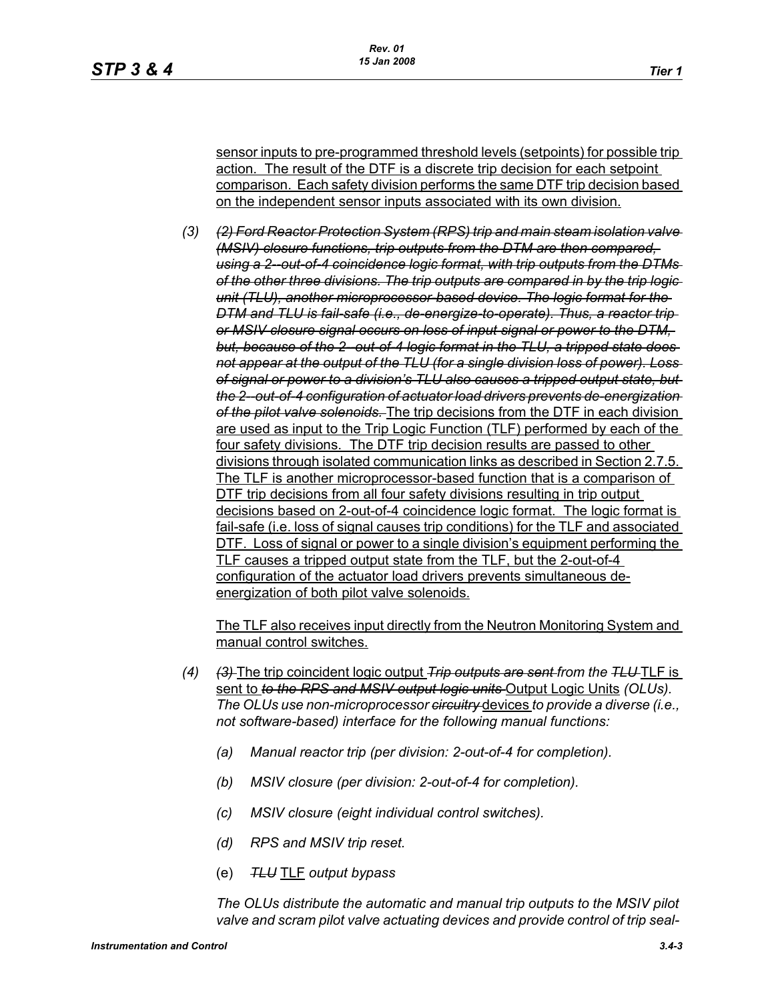sensor inputs to pre-programmed threshold levels (setpoints) for possible trip action. The result of the DTF is a discrete trip decision for each setpoint comparison. Each safety division performs the same DTF trip decision based on the independent sensor inputs associated with its own division.

*(3) (2) Ford Reactor Protection System (RPS) trip and main steam isolation valve (MSIV) closure functions, trip outputs from the DTM are then compared, using a 2--out-of-4 coincidence logic format, with trip outputs from the DTMs of the other three divisions. The trip outputs are compared in by the trip logic unit (TLU), another microprocessor-based device. The logic format for the DTM and TLU is fail-safe (i.e., de-energize-to-operate). Thus, a reactor trip or MSIV closure signal occurs on loss of input signal or power to the DTM,*  but, because of the 2-out-of-4 logic format in the TLU, a tripped state does*not appear at the output of the TLU (for a single division loss of power). Loss of signal or power to a division's TLU also causes a tripped output state, but the 2--out-of-4 configuration of actuator load drivers prevents de-energization of the pilot valve solenoids.* The trip decisions from the DTF in each division are used as input to the Trip Logic Function (TLF) performed by each of the four safety divisions. The DTF trip decision results are passed to other divisions through isolated communication links as described in Section 2.7.5. The TLF is another microprocessor-based function that is a comparison of DTF trip decisions from all four safety divisions resulting in trip output decisions based on 2-out-of-4 coincidence logic format. The logic format is fail-safe (i.e. loss of signal causes trip conditions) for the TLF and associated DTF. Loss of signal or power to a single division's equipment performing the TLF causes a tripped output state from the TLF, but the 2-out-of-4 configuration of the actuator load drivers prevents simultaneous deenergization of both pilot valve solenoids.

The TLF also receives input directly from the Neutron Monitoring System and manual control switches.

- *(4) (3)* The trip coincident logic output *Trip outputs are sent from the TLU* TLF is sent to *to the RPS and MSIV output logic units* Output Logic Units *(OLUs). The OLUs use non-microprocessor circuitry* devices *to provide a diverse (i.e., not software-based) interface for the following manual functions:*
	- *(a) Manual reactor trip (per division: 2-out-of-4 for completion).*
	- *(b) MSIV closure (per division: 2-out-of-4 for completion).*
	- *(c) MSIV closure (eight individual control switches).*
	- *(d) RPS and MSIV trip reset.*
	- (e) *TLU* TLF *output bypass*

*The OLUs distribute the automatic and manual trip outputs to the MSIV pilot valve and scram pilot valve actuating devices and provide control of trip seal-*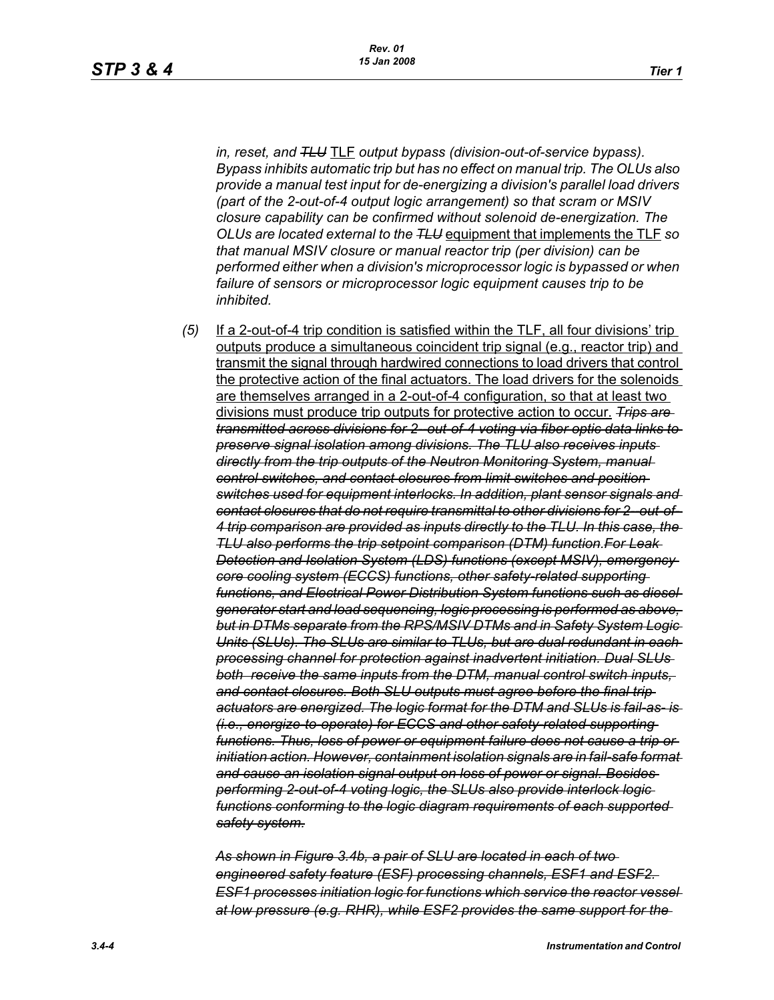*in, reset, and TLU* TLF *output bypass (division-out-of-service bypass). Bypass inhibits automatic trip but has no effect on manual trip. The OLUs also provide a manual test input for de-energizing a division's parallel load drivers (part of the 2-out-of-4 output logic arrangement) so that scram or MSIV closure capability can be confirmed without solenoid de-energization. The OLUs are located external to the TLU* equipment that implements the TLF *so that manual MSIV closure or manual reactor trip (per division) can be performed either when a division's microprocessor logic is bypassed or when failure of sensors or microprocessor logic equipment causes trip to be inhibited.*

*(5)* If a 2-out-of-4 trip condition is satisfied within the TLF, all four divisions' trip outputs produce a simultaneous coincident trip signal (e.g., reactor trip) and transmit the signal through hardwired connections to load drivers that control the protective action of the final actuators. The load drivers for the solenoids are themselves arranged in a 2-out-of-4 configuration, so that at least two divisions must produce trip outputs for protective action to occur. *Trips are transmitted across divisions for 2--out-of-4 voting via fiber optic data links to preserve signal isolation among divisions. The TLU also receives inputs directly from the trip outputs of the Neutron Monitoring System, manual control switches, and contact closures from limit switches and position switches used for equipment interlocks. In addition, plant sensor signals and contact closures that do not require transmittal to other divisions for 2--out-of-4 trip comparison are provided as inputs directly to the TLU. In this case, the TLU also performs the trip setpoint comparison (DTM) function.For Leak Detection and Isolation System (LDS) functions (except MSIV), emergency core cooling system (ECCS) functions, other safety-related supporting functions, and Electrical Power Distribution System functions such as diesel generator start and load sequencing, logic processing is performed as above, but in DTMs separate from the RPS/MSIV DTMs and in Safety System Logic Units (SLUs). The SLUs are similar to TLUs, but are dual redundant in each processing channel for protection against inadvertent initiation. Dual SLUs both receive the same inputs from the DTM, manual control switch inputs, and contact closures. Both SLU outputs must agree before the final trip actuators are energized. The logic format for the DTM and SLUs is fail-as- is (i.e., energize-to-operate) for ECCS and other safety-related supporting functions. Thus, loss of power or equipment failure does not cause a trip or initiation action. However, containment isolation signals are in fail-safe format and cause an isolation signal output on loss of power or signal. Besides performing 2-out-of-4 voting logic, the SLUs also provide interlock logic functions conforming to the logic diagram requirements of each supported safety system.*

*As shown in Figure 3.4b, a pair of SLU are located in each of two engineered safety feature (ESF) processing channels, ESF1 and ESF2. ESF1 processes initiation logic for functions which service the reactor vessel at low pressure (e.g. RHR), while ESF2 provides the same support for the*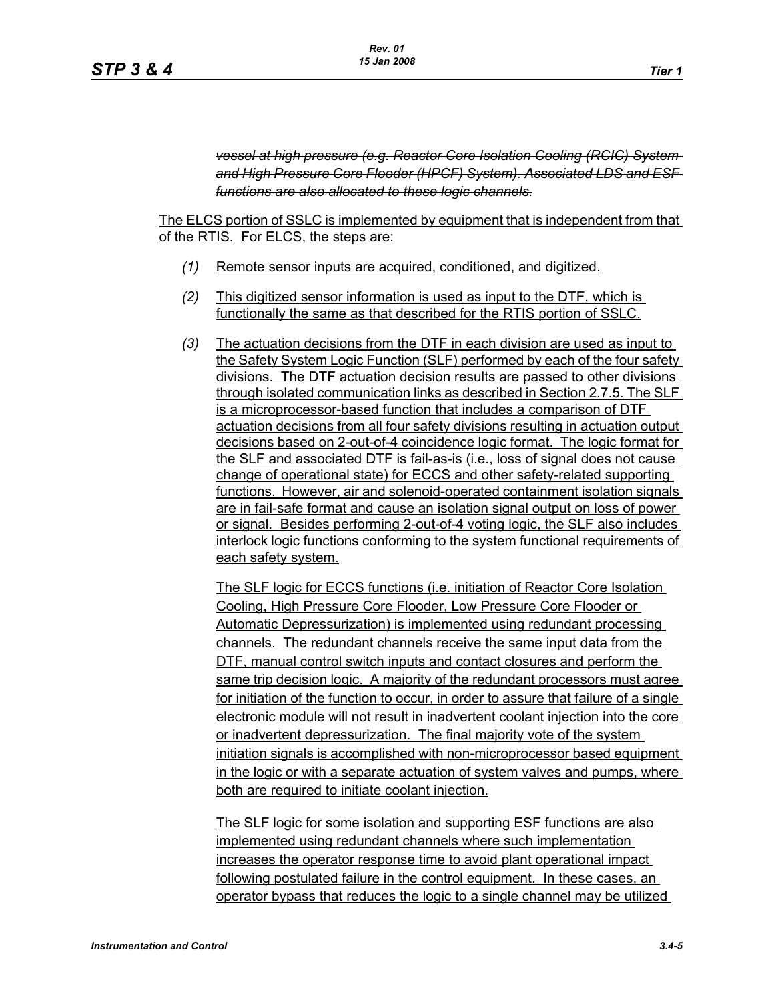*vessel at high pressure (e.g. Reactor Core Isolation Cooling (RCIC) System and High Pressure Core Flooder (HPCF) System). Associated LDS and ESF functions are also allocated to these logic channels.*

The ELCS portion of SSLC is implemented by equipment that is independent from that of the RTIS. For ELCS, the steps are:

- *(1)* Remote sensor inputs are acquired, conditioned, and digitized.
- *(2)* This digitized sensor information is used as input to the DTF, which is functionally the same as that described for the RTIS portion of SSLC.
- *(3)* The actuation decisions from the DTF in each division are used as input to the Safety System Logic Function (SLF) performed by each of the four safety divisions. The DTF actuation decision results are passed to other divisions through isolated communication links as described in Section 2.7.5. The SLF is a microprocessor-based function that includes a comparison of DTF actuation decisions from all four safety divisions resulting in actuation output decisions based on 2-out-of-4 coincidence logic format. The logic format for the SLF and associated DTF is fail-as-is (i.e., loss of signal does not cause change of operational state) for ECCS and other safety-related supporting functions. However, air and solenoid-operated containment isolation signals are in fail-safe format and cause an isolation signal output on loss of power or signal. Besides performing 2-out-of-4 voting logic, the SLF also includes interlock logic functions conforming to the system functional requirements of each safety system.

The SLF logic for ECCS functions (i.e. initiation of Reactor Core Isolation Cooling, High Pressure Core Flooder, Low Pressure Core Flooder or Automatic Depressurization) is implemented using redundant processing channels. The redundant channels receive the same input data from the DTF, manual control switch inputs and contact closures and perform the same trip decision logic. A majority of the redundant processors must agree for initiation of the function to occur, in order to assure that failure of a single electronic module will not result in inadvertent coolant injection into the core or inadvertent depressurization. The final majority vote of the system initiation signals is accomplished with non-microprocessor based equipment in the logic or with a separate actuation of system valves and pumps, where both are required to initiate coolant injection.

The SLF logic for some isolation and supporting ESF functions are also implemented using redundant channels where such implementation increases the operator response time to avoid plant operational impact following postulated failure in the control equipment. In these cases, an operator bypass that reduces the logic to a single channel may be utilized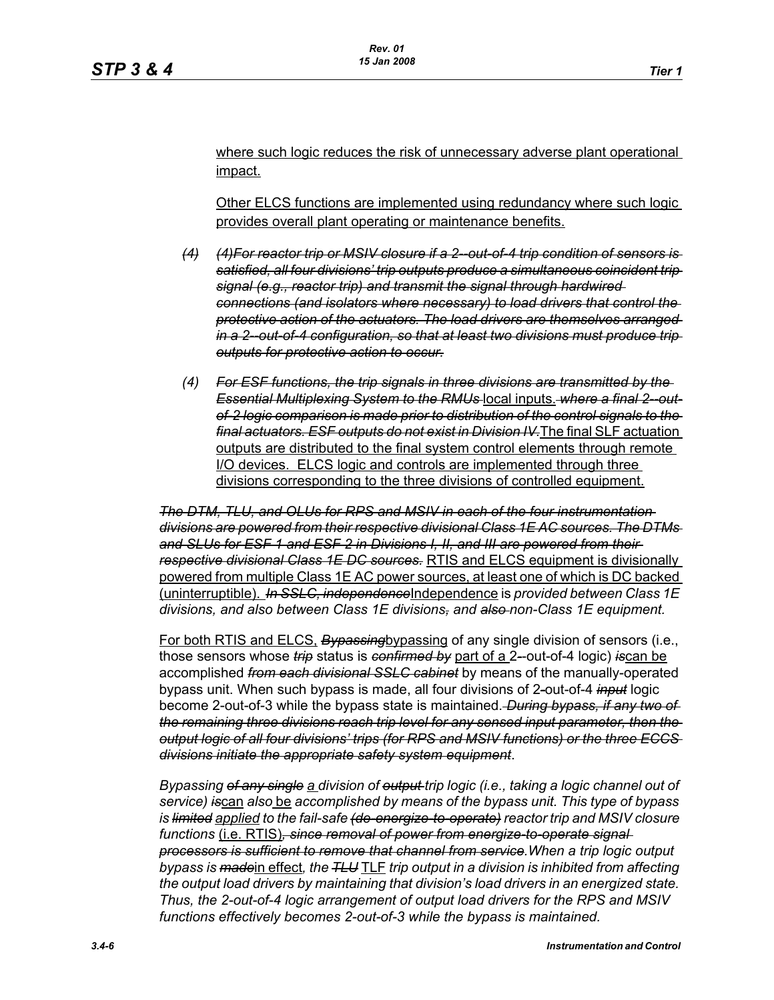where such logic reduces the risk of unnecessary adverse plant operational impact.

Other ELCS functions are implemented using redundancy where such logic provides overall plant operating or maintenance benefits.

- *(4) (4)For reactor trip or MSIV closure if a 2--out-of-4 trip condition of sensors is satisfied, all four divisions' trip outputs produce a simultaneous coincident trip signal (e.g., reactor trip) and transmit the signal through hardwired connections (and isolators where necessary) to load drivers that control the protective action of the actuators. The load drivers are themselves arranged in a 2--out-of-4 configuration, so that at least two divisions must produce trip outputs for protective action to occur.*
- *(4) For ESF functions, the trip signals in three divisions are transmitted by the*  **Essential Multiplexing System to the RMUs-local inputs. where a final 2-out***of-2 logic comparison is made prior to distribution of the control signals to the final actuators. ESF outputs do not exist in Division IV.*The final SLF actuation outputs are distributed to the final system control elements through remote I/O devices. ELCS logic and controls are implemented through three divisions corresponding to the three divisions of controlled equipment.

*The DTM, TLU, and OLUs for RPS and MSIV in each of the four instrumentation divisions are powered from their respective divisional Class 1E AC sources. The DTMs and SLUs for ESF 1 and ESF 2 in Divisions I, II, and III are powered from their respective divisional Class 1E DC sources.* RTIS and ELCS equipment is divisionally powered from multiple Class 1E AC power sources, at least one of which is DC backed (uninterruptible). *In SSLC, independence*Independence is *provided between Class 1E divisions, and also between Class 1E divisions, and also non-Class 1E equipment.*

For both RTIS and ELCS, *Bypassing*bypassing of any single division of sensors (i.e., those sensors whose *trip* status is *confirmed by* part of a 2*-*-out-of-4 logic) *is*can be accomplished *from each divisional SSLC cabinet* by means of the manually-operated bypass unit. When such bypass is made, all four divisions of 2*-*out-of-4 *input* logic become 2-out-of-3 while the bypass state is maintained. *During bypass, if any two of the remaining three divisions reach trip level for any sensed input parameter, then the output logic of all four divisions' trips (for RPS and MSIV functions) or the three ECCS divisions initiate the appropriate safety system equipment*.

*Bypassing of any single a division of output trip logic (i.e., taking a logic channel out of service) is*can *also* be *accomplished by means of the bypass unit. This type of bypass is limited applied to the fail-safe (de-energize-to-operate) reactor trip and MSIV closure functions* (i.e. RTIS)*, since removal of power from energize-to-operate signal processors is sufficient to remove that channel from service.When a trip logic output bypass is made*in effect*, the TLU* TLF *trip output in a division is inhibited from affecting the output load drivers by maintaining that division's load drivers in an energized state. Thus, the 2-out-of-4 logic arrangement of output load drivers for the RPS and MSIV functions effectively becomes 2-out-of-3 while the bypass is maintained.*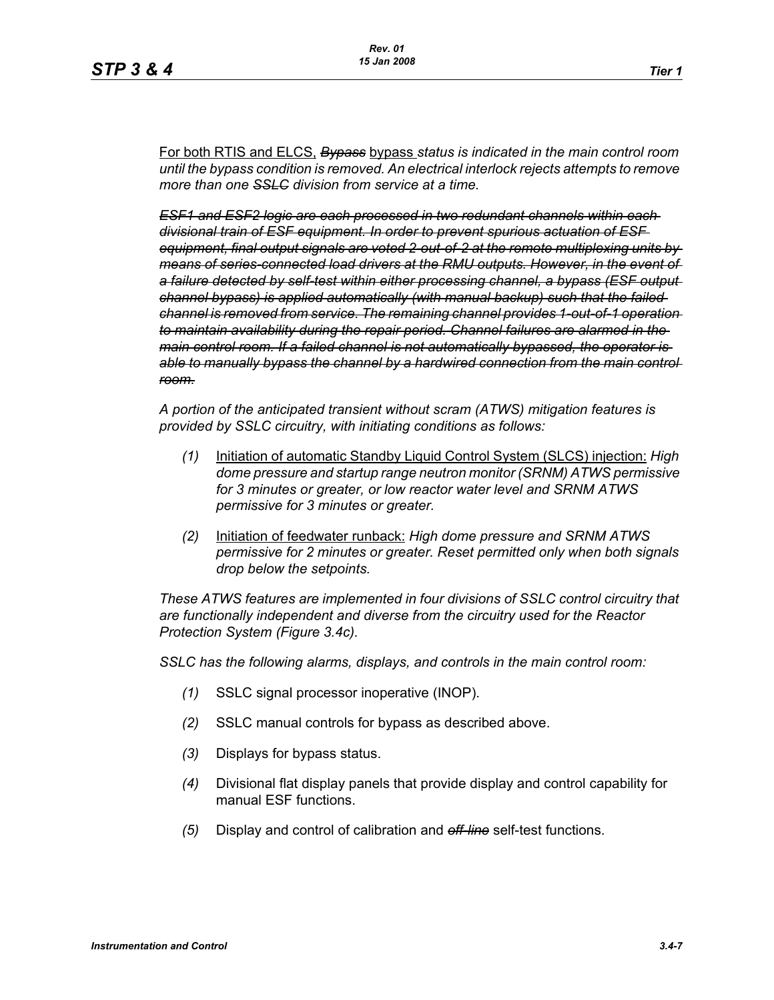For both RTIS and ELCS, *Bypass* bypass *status is indicated in the main control room until the bypass condition is removed. An electrical interlock rejects attempts to remove more than one SSLC division from service at a time.*

*ESF1 and ESF2 logic are each processed in two redundant channels within each divisional train of ESF equipment. In order to prevent spurious actuation of ESF equipment, final output signals are voted 2-out-of-2 at the remote multiplexing units by means of series-connected load drivers at the RMU outputs. However, in the event of a failure detected by self-test within either processing channel, a bypass (ESF output channel bypass) is applied automatically (with manual backup) such that the failed channel is removed from service. The remaining channel provides 1-out-of-1 operation to maintain availability during the repair period. Channel failures are alarmed in the main control room. If a failed channel is not automatically bypassed, the operator is able to manually bypass the channel by a hardwired connection from the main control room.*

*A portion of the anticipated transient without scram (ATWS) mitigation features is provided by SSLC circuitry, with initiating conditions as follows:*

- *(1)* Initiation of automatic Standby Liquid Control System (SLCS) injection: *High dome pressure and startup range neutron monitor (SRNM) ATWS permissive for 3 minutes or greater, or low reactor water level and SRNM ATWS permissive for 3 minutes or greater.*
- *(2)* Initiation of feedwater runback: *High dome pressure and SRNM ATWS permissive for 2 minutes or greater. Reset permitted only when both signals drop below the setpoints.*

*These ATWS features are implemented in four divisions of SSLC control circuitry that are functionally independent and diverse from the circuitry used for the Reactor Protection System (Figure 3.4c).*

*SSLC has the following alarms, displays, and controls in the main control room:*

- *(1)* SSLC signal processor inoperative (INOP).
- *(2)* SSLC manual controls for bypass as described above.
- *(3)* Displays for bypass status.
- *(4)* Divisional flat display panels that provide display and control capability for manual ESF functions.
- *(5)* Display and control of calibration and *off-line* self-test functions.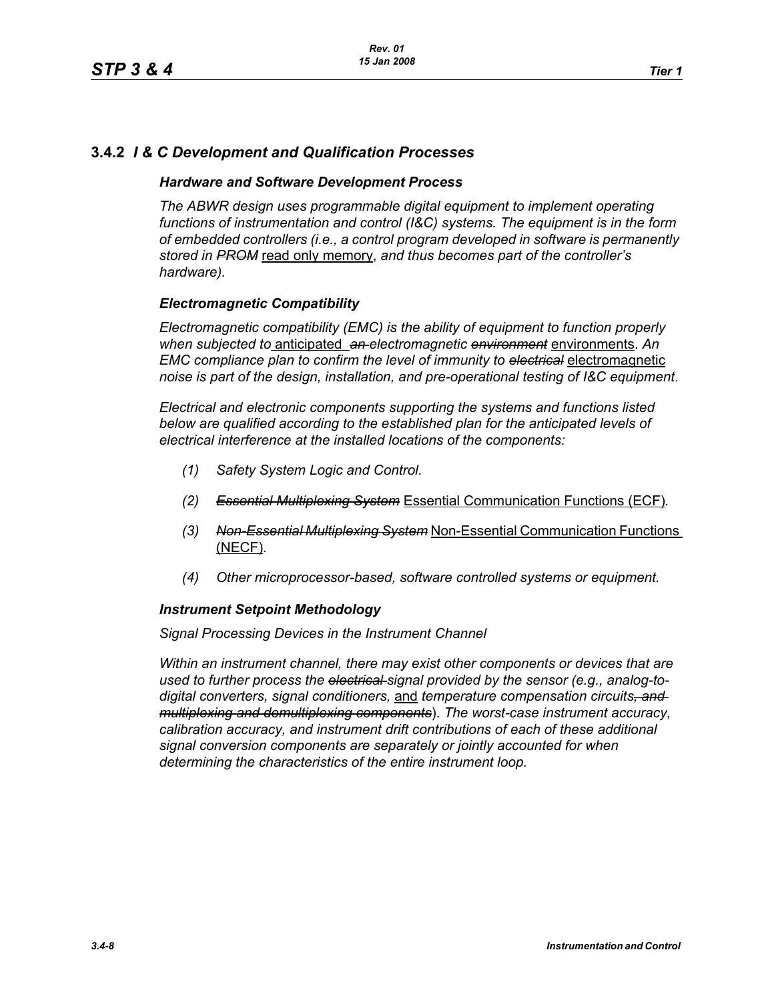# **3.4.2** *I & C Development and Qualification Processes*

#### *Hardware and Software Development Process*

*The ABWR design uses programmable digital equipment to implement operating functions of instrumentation and control (I&C) systems. The equipment is in the form of embedded controllers (i.e., a control program developed in software is permanently stored in PROM* read only memory, *and thus becomes part of the controller's hardware).*

### *Electromagnetic Compatibility*

*Electromagnetic compatibility (EMC) is the ability of equipment to function properly when subjected to* anticipated *an electromagnetic environment* environments. *An EMC compliance plan to confirm the level of immunity to electrical* electromagnetic *noise is part of the design, installation, and pre-operational testing of I&C equipment*.

*Electrical and electronic components supporting the systems and functions listed below are qualified according to the established plan for the anticipated levels of electrical interference at the installed locations of the components:*

- *(1) Safety System Logic and Control.*
- *(2) Essential Multiplexing System* Essential Communication Functions (ECF)*.*
- *(3) Non-Essential Multiplexing System* Non-Essential Communication Functions (NECF)*.*
- *(4) Other microprocessor-based, software controlled systems or equipment.*

#### *Instrument Setpoint Methodology*

*Signal Processing Devices in the Instrument Channel*

*Within an instrument channel, there may exist other components or devices that are used to further process the electrical signal provided by the sensor (e.g., analog-todigital converters, signal conditioners,* and *temperature compensation circuits, and multiplexing and demultiplexing components*). *The worst-case instrument accuracy, calibration accuracy, and instrument drift contributions of each of these additional signal conversion components are separately or jointly accounted for when determining the characteristics of the entire instrument loop.*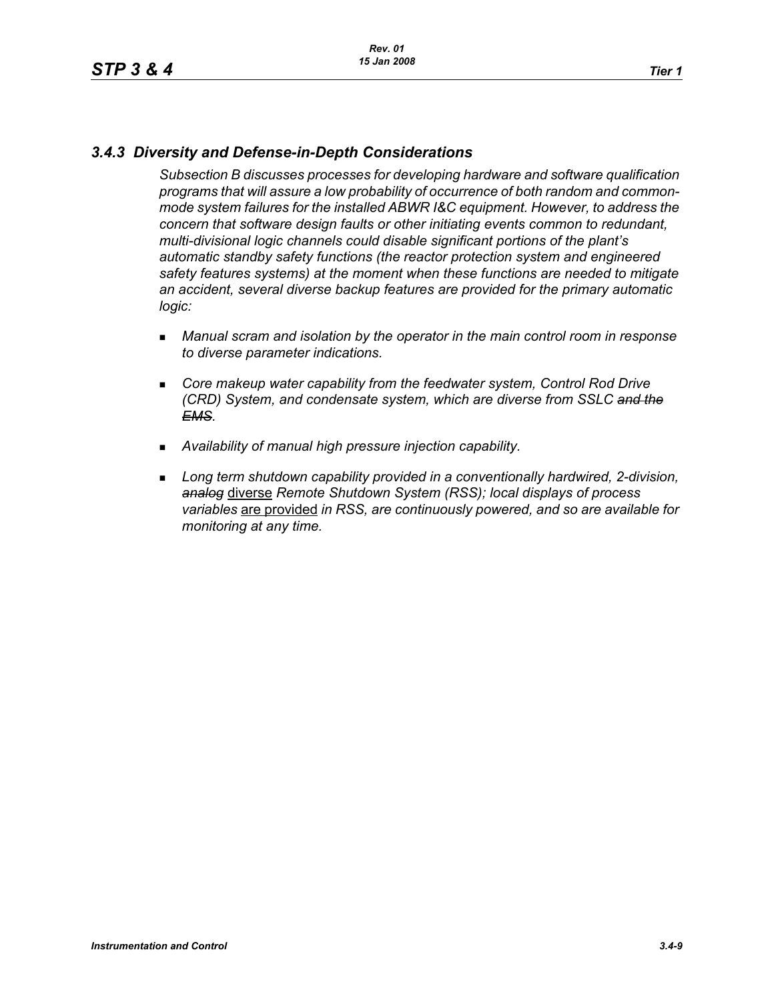# *3.4.3 Diversity and Defense-in-Depth Considerations*

*Subsection B discusses processes for developing hardware and software qualification programs that will assure a low probability of occurrence of both random and commonmode system failures for the installed ABWR I&C equipment. However, to address the concern that software design faults or other initiating events common to redundant, multi-divisional logic channels could disable significant portions of the plant's automatic standby safety functions (the reactor protection system and engineered safety features systems) at the moment when these functions are needed to mitigate an accident, several diverse backup features are provided for the primary automatic logic:*

- *Manual scram and isolation by the operator in the main control room in response to diverse parameter indications.*
- **EXP** Core makeup water capability from the feedwater system, Control Rod Drive *(CRD) System, and condensate system, which are diverse from SSLC and the EMS.*
- *Availability of manual high pressure injection capability.*
- **Long term shutdown capability provided in a conventionally hardwired, 2-division,** *analog* diverse *Remote Shutdown System (RSS); local displays of process variables* are provided *in RSS, are continuously powered, and so are available for monitoring at any time.*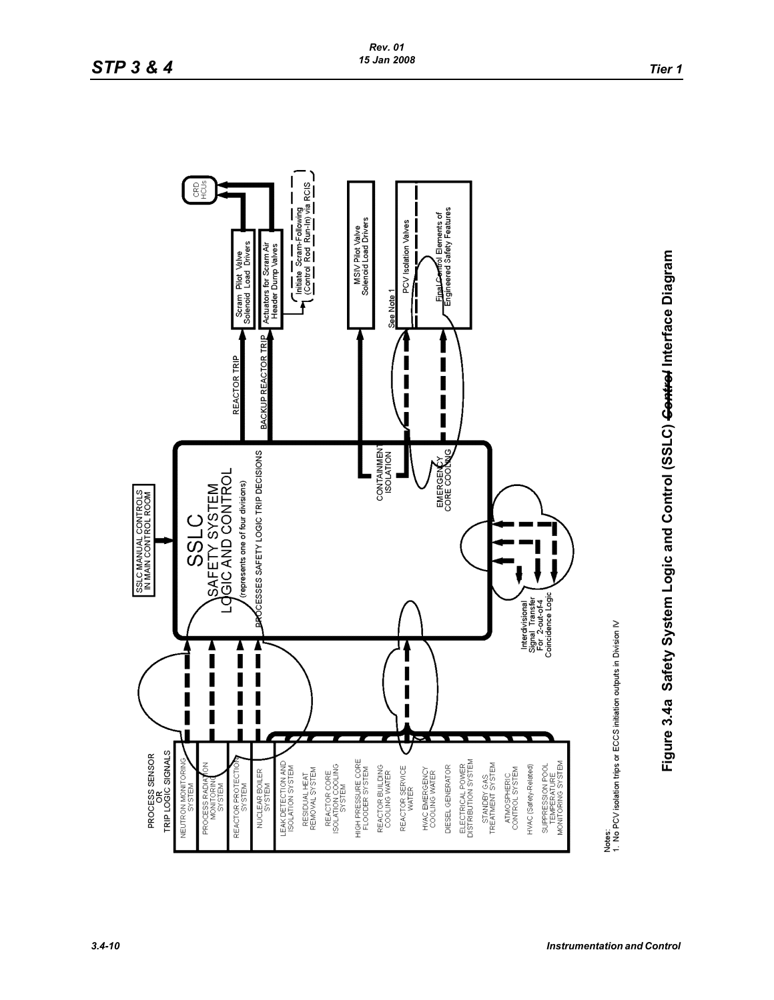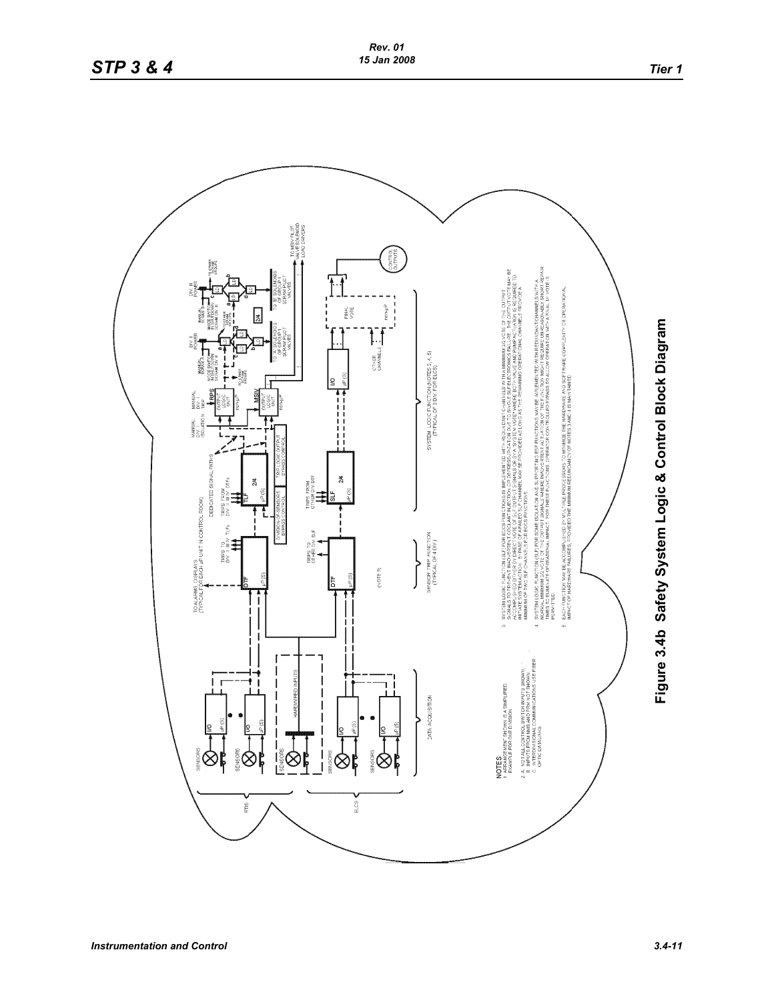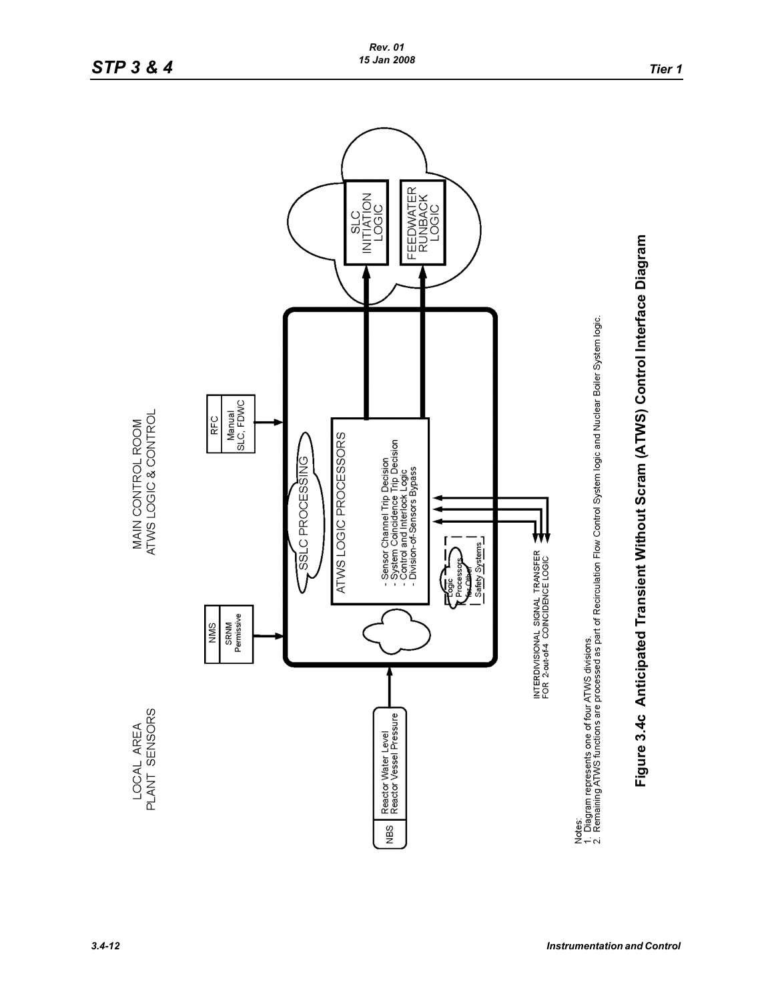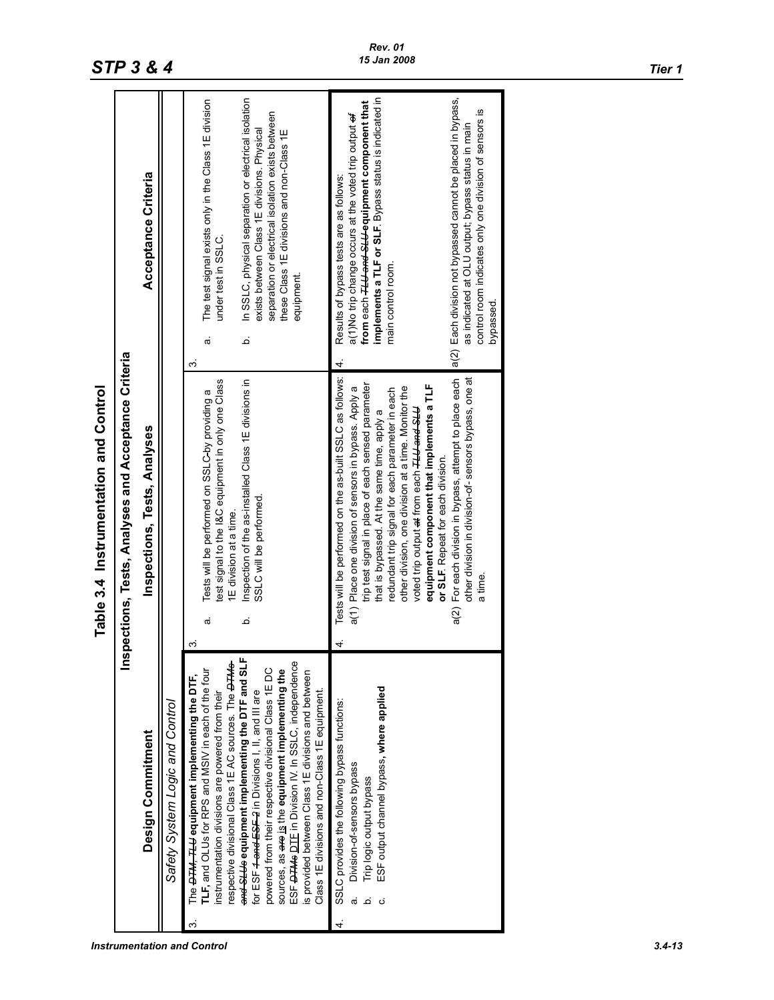|                                       |                                                   | Acceptance Criteria          |                                 | In SSLC, physical separation or electrical isolation<br>The test signal exists only in the Class 1E division<br>separation or electrical isolation exists between<br>exists between Class 1E divisions. Physical<br>these Class 1E divisions and non-Class 1E<br>under test in SSLC.<br>equipment<br>م<br>σ<br>က                                                                                                                                                                                                                                                                                                                                                | implements a TLF or SLF. Bypass status is indicated in<br>a(2) Each division not bypassed cannot be placed in bypass,<br>from each <del>TLU and SLU</del> equipment component that<br>control room indicates only one division of sensors is<br>a(1)No trip change occurs at the voted trip output of<br>as indicated at OLU output; bypass status in main<br>Results of bypass tests are as follows:<br>main control room.<br>bypassed.<br>4                                                                                                                                                             |
|---------------------------------------|---------------------------------------------------|------------------------------|---------------------------------|-----------------------------------------------------------------------------------------------------------------------------------------------------------------------------------------------------------------------------------------------------------------------------------------------------------------------------------------------------------------------------------------------------------------------------------------------------------------------------------------------------------------------------------------------------------------------------------------------------------------------------------------------------------------|-----------------------------------------------------------------------------------------------------------------------------------------------------------------------------------------------------------------------------------------------------------------------------------------------------------------------------------------------------------------------------------------------------------------------------------------------------------------------------------------------------------------------------------------------------------------------------------------------------------|
| Table 3.4 Instrumentation and Control | pections, Tests, Analyses and Acceptance Criteria | Inspections, Tests, Analyses |                                 | test signal to the I&C equipment in only one Class<br>Inspection of the as-installed Class 1E divisions in<br>Tests will be performed on SSLC-by providing a<br>SSLC will be performed.<br>1E division at a time.<br>م<br>ಹ<br>ო                                                                                                                                                                                                                                                                                                                                                                                                                                | Tests will be performed on the as-built SSLC as follows:<br>a(2) For each division in bypass, attempt to place each<br>other division in division-of-sensors bypass, one at<br>trip test signal in place of each sensed parameter<br>equipment component that implements a TLF<br>other division, one division at a time. Monitor the<br>a(1) Place one division of sensors in bypass. Apply a<br>redundant trip signal for each parameter in each<br>voted trip output at from each <del>TLU and SLU</del><br>that is bypassed. At the same time, apply a<br>or SLF. Repeat for each division.<br>a time |
|                                       | ien                                               | Design Commitment            | Safety System Logic and Control | and SLUs equipment implementing the DTF and SLF<br>ESF <del>DTMs</del> DIE in Division IV. In SSLC, independence<br>espective divisional Class 1E AC sources. The <b>OTMS</b><br>powered from their respective divisional Class 1E DC<br><b>LLF, and OLUs for RPS and MSIV in each of the four</b><br>sources, as <del>are</del> is the equipment implementing the<br>is provided between Class 1E divisions and between<br>The <del>DTM, TLU</del> equipment implementing the DTF,<br>Class 1E divisions and non-Class 1E equipment.<br>for ESF <del>4 and ESF 2</del> in Divisions I, II, and III are<br>nstrumentation divisions are powered from their<br>ო | ESF output channel bypass, where applied<br>SSLC provides the following bypass functions:<br>Division-of-sensors bypass<br>Trip logic output bypass<br>4                                                                                                                                                                                                                                                                                                                                                                                                                                                  |

#### *Instrumentation and Control 3.4-13*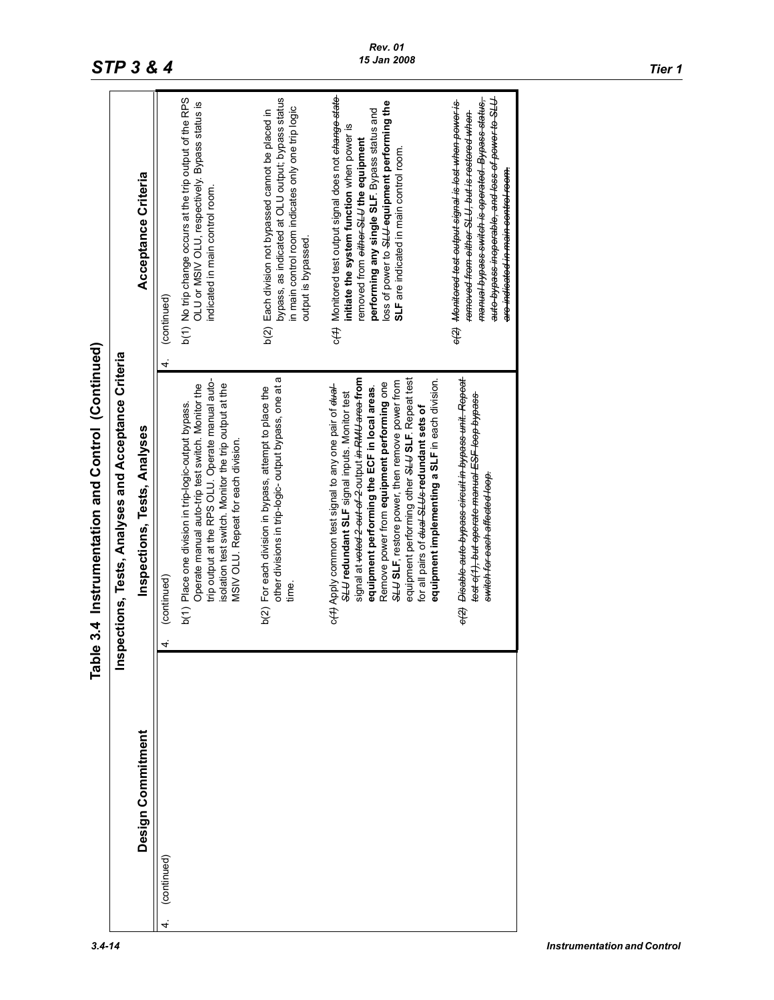# **STP 3 & 4** *The state of the 15 Jan 2008 Tier 1 Tier 1*